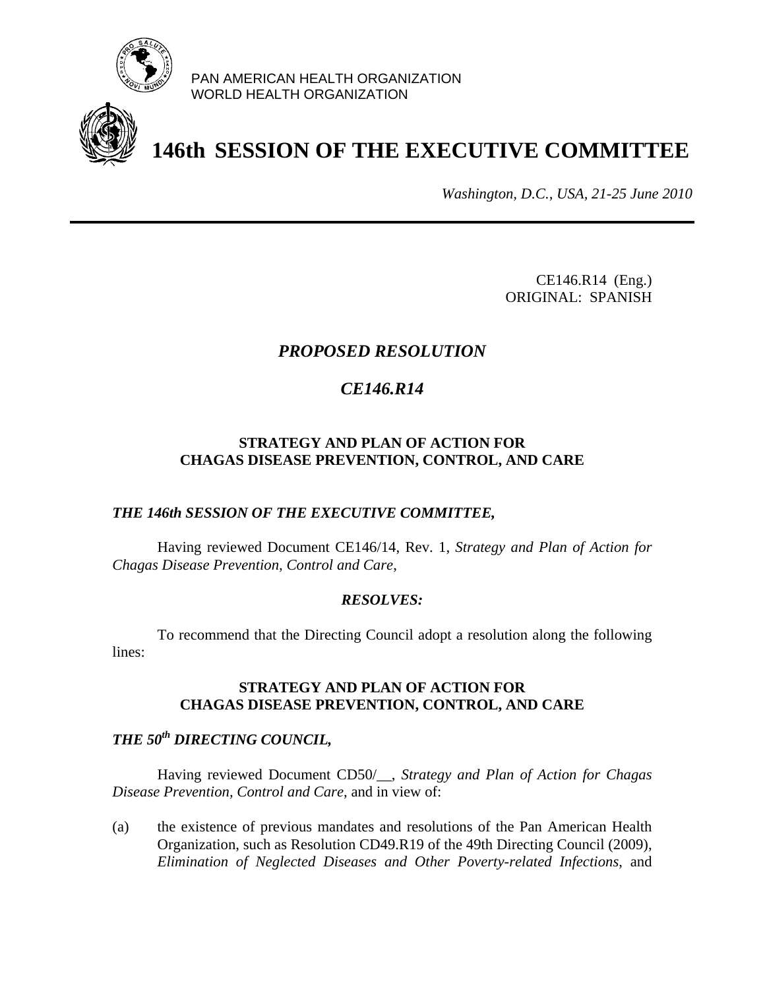

PAN AMERICAN HEALTH ORGANIZATION WORLD HEALTH ORGANIZATION

# **146th SESSION OF THE EXECUTIVE COMMITTEE**

*Washington, D.C., USA, 21-25 June 2010*

CE146.R14 (Eng.) ORIGINAL: SPANISH

### *PROPOSED RESOLUTION*

### *CE146.R14*

#### **STRATEGY AND PLAN OF ACTION FOR CHAGAS DISEASE PREVENTION, CONTROL, AND CARE**

#### *THE 146th SESSION OF THE EXECUTIVE COMMITTEE,*

Having reviewed Document CE146/14, Rev. 1, *Strategy and Plan of Action for Chagas Disease Prevention, Control and Care*,

#### *RESOLVES:*

 To recommend that the Directing Council adopt a resolution along the following lines:

#### **STRATEGY AND PLAN OF ACTION FOR CHAGAS DISEASE PREVENTION, CONTROL, AND CARE**

## *THE 50th DIRECTING COUNCIL,*

Having reviewed Document CD50/\_\_, *Strategy and Plan of Action for Chagas Disease Prevention, Control and Care*, and in view of:

(a) the existence of previous mandates and resolutions of the Pan American Health Organization, such as Resolution CD49.R19 of the 49th Directing Council (2009), *Elimination of Neglected Diseases and Other Poverty-related Infections*, and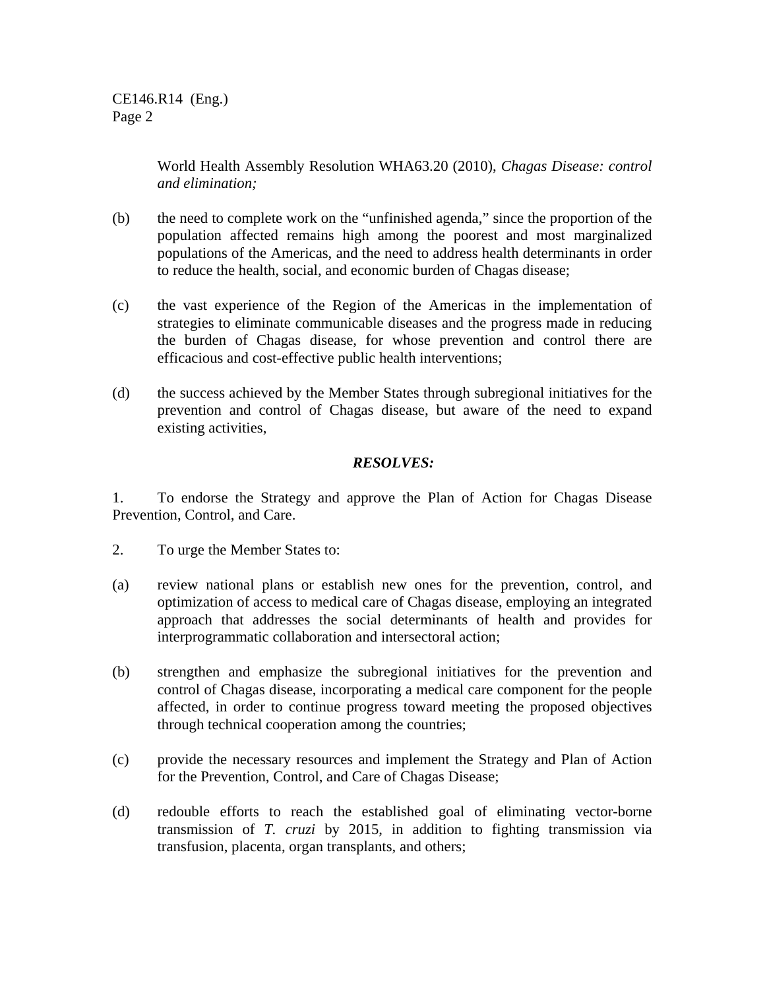World Health Assembly Resolution WHA63.20 (2010), *Chagas Disease: control and elimination;* 

- (b) the need to complete work on the "unfinished agenda," since the proportion of the population affected remains high among the poorest and most marginalized populations of the Americas, and the need to address health determinants in order to reduce the health, social, and economic burden of Chagas disease;
- (c) the vast experience of the Region of the Americas in the implementation of strategies to eliminate communicable diseases and the progress made in reducing the burden of Chagas disease, for whose prevention and control there are efficacious and cost-effective public health interventions;
- (d) the success achieved by the Member States through subregional initiatives for the prevention and control of Chagas disease, but aware of the need to expand existing activities,

#### *RESOLVES:*

1. To endorse the Strategy and approve the Plan of Action for Chagas Disease Prevention, Control, and Care.

- 2. To urge the Member States to:
- (a) review national plans or establish new ones for the prevention, control, and optimization of access to medical care of Chagas disease, employing an integrated approach that addresses the social determinants of health and provides for interprogrammatic collaboration and intersectoral action;
- (b) strengthen and emphasize the subregional initiatives for the prevention and control of Chagas disease, incorporating a medical care component for the people affected, in order to continue progress toward meeting the proposed objectives through technical cooperation among the countries;
- (c) provide the necessary resources and implement the Strategy and Plan of Action for the Prevention, Control, and Care of Chagas Disease;
- (d) redouble efforts to reach the established goal of eliminating vector-borne transmission of *T. cruzi* by 2015, in addition to fighting transmission via transfusion, placenta, organ transplants, and others;